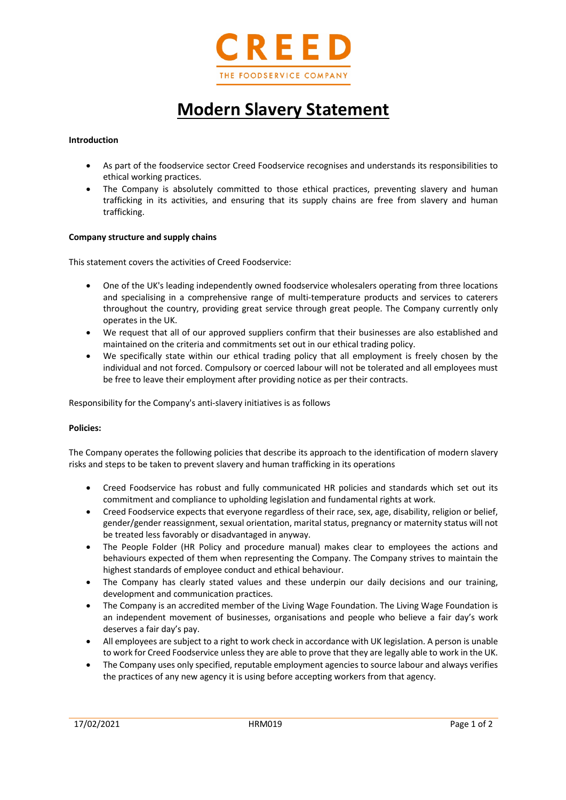

# **Modern Slavery Statement**

### **Introduction**

- As part of the foodservice sector Creed Foodservice recognises and understands its responsibilities to ethical working practices.
- The Company is absolutely committed to those ethical practices, preventing slavery and human trafficking in its activities, and ensuring that its supply chains are free from slavery and human trafficking.

### **Company structure and supply chains**

This statement covers the activities of Creed Foodservice:

- One of the UK's leading independently owned foodservice wholesalers operating from three locations and specialising in a comprehensive range of multi-temperature products and services to caterers throughout the country, providing great service through great people. The Company currently only operates in the UK.
- We request that all of our approved suppliers confirm that their businesses are also established and maintained on the criteria and commitments set out in our ethical trading policy.
- We specifically state within our ethical trading policy that all employment is freely chosen by the individual and not forced. Compulsory or coerced labour will not be tolerated and all employees must be free to leave their employment after providing notice as per their contracts.

Responsibility for the Company's anti-slavery initiatives is as follows

### **Policies:**

The Company operates the following policies that describe its approach to the identification of modern slavery risks and steps to be taken to prevent slavery and human trafficking in its operations

- Creed Foodservice has robust and fully communicated HR policies and standards which set out its commitment and compliance to upholding legislation and fundamental rights at work.
- Creed Foodservice expects that everyone regardless of their race, sex, age, disability, religion or belief, gender/gender reassignment, sexual orientation, marital status, pregnancy or maternity status will not be treated less favorably or disadvantaged in anyway.
- The People Folder (HR Policy and procedure manual) makes clear to employees the actions and behaviours expected of them when representing the Company. The Company strives to maintain the highest standards of employee conduct and ethical behaviour.
- The Company has clearly stated values and these underpin our daily decisions and our training, development and communication practices.
- The Company is an accredited member of the Living Wage Foundation. The Living Wage Foundation is an independent movement of businesses, organisations and people who believe a fair day's work deserves a fair day's pay.
- All employees are subject to a right to work check in accordance with UK legislation. A person is unable to work for Creed Foodservice unless they are able to prove that they are legally able to work in the UK.
- The Company uses only specified, reputable employment agencies to source labour and always verifies the practices of any new agency it is using before accepting workers from that agency.